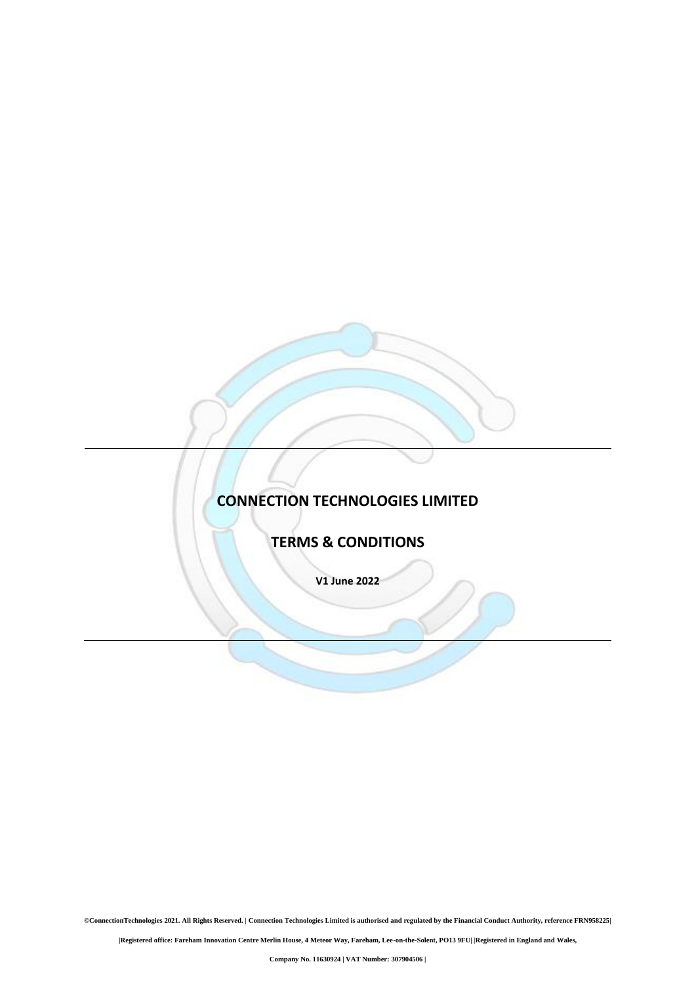# **CONNECTION TECHNOLOGIES LIMITED**

**TERMS & CONDITIONS**

**V1 June 2022**

**©ConnectionTechnologies 2021. All Rights Reserved. | Connection Technologies Limited is authorised and regulated by the Financial Conduct Authority, reference FRN958225|**

**|Registered office: Fareham Innovation Centre Merlin House, 4 Meteor Way, Fareham, Lee-on-the-Solent, PO13 9FU| |Registered in England and Wales,**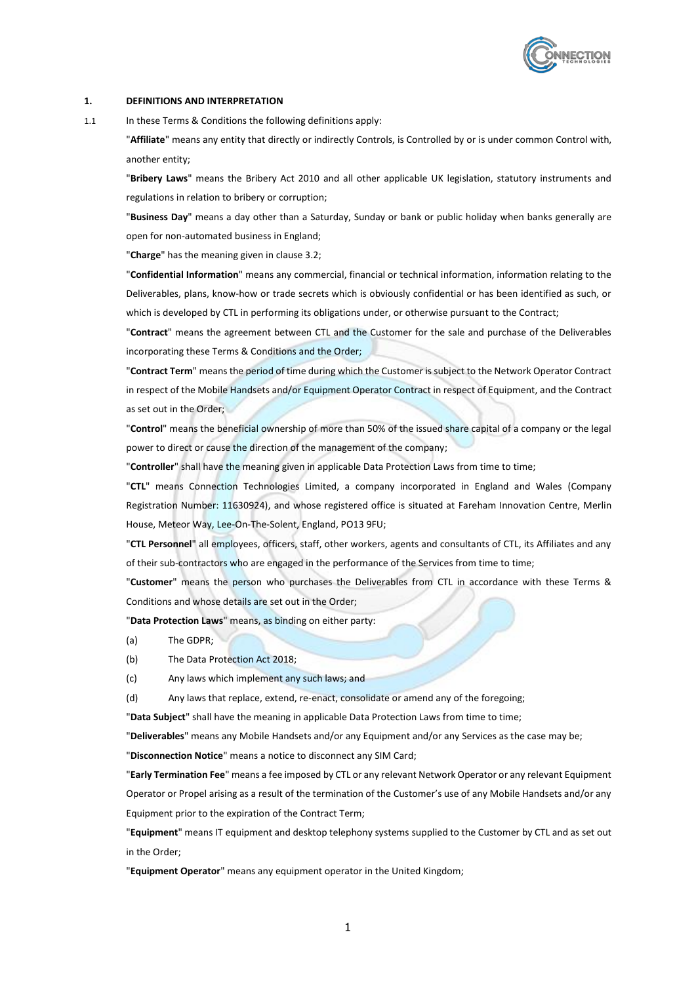

## **1. DEFINITIONS AND INTERPRETATION**

1.1 In these Terms & Conditions the following definitions apply:

"**Affiliate**" means any entity that directly or indirectly Controls, is Controlled by or is under common Control with, another entity;

"**Bribery Laws**" means the Bribery Act 2010 and all other applicable UK legislation, statutory instruments and regulations in relation to bribery or corruption;

"**Business Day**" means a day other than a Saturday, Sunday or bank or public holiday when banks generally are open for non-automated business in England;

"**Charge**" has the meaning given in clause 3.2;

"**Confidential Information**" means any commercial, financial or technical information, information relating to the Deliverables, plans, know-how or trade secrets which is obviously confidential or has been identified as such, or which is developed by CTL in performing its obligations under, or otherwise pursuant to the Contract;

"**Contract**" means the agreement between CTL and the Customer for the sale and purchase of the Deliverables incorporating these Terms & Conditions and the Order;

"**Contract Term**" means the period of time during which the Customer is subject to the Network Operator Contract in respect of the Mobile Handsets and/or Equipment Operator Contract in respect of Equipment, and the Contract as set out in the Order;

"**Control**" means the beneficial ownership of more than 50% of the issued share capital of a company or the legal power to direct or cause the direction of the management of the company;

"**Controller**" shall have the meaning given in applicable Data Protection Laws from time to time;

"**CTL**" means Connection Technologies Limited, a company incorporated in England and Wales (Company Registration Number: 11630924), and whose registered office is situated at Fareham Innovation Centre, Merlin House, Meteor Way, Lee-On-The-Solent, England, PO13 9FU;

"**CTL Personnel**" all employees, officers, staff, other workers, agents and consultants of CTL, its Affiliates and any of their sub-contractors who are engaged in the performance of the Services from time to time;

"**Customer**" means the person who purchases the Deliverables from CTL in accordance with these Terms & Conditions and whose details are set out in the Order;

"**Data Protection Laws**" means, as binding on either party:

(a) The GDPR;

- (b) The Data Protection Act 2018;
- (c) Any laws which implement any such laws; and

(d) Any laws that replace, extend, re-enact, consolidate or amend any of the foregoing;

"**Data Subject**" shall have the meaning in applicable Data Protection Laws from time to time;

"**Deliverables**" means any Mobile Handsets and/or any Equipment and/or any Services as the case may be;

"**Disconnection Notice**" means a notice to disconnect any SIM Card;

"**Early Termination Fee**" means a fee imposed by CTL or any relevant Network Operator or any relevant Equipment Operator or Propel arising as a result of the termination of the Customer's use of any Mobile Handsets and/or any Equipment prior to the expiration of the Contract Term;

"**Equipment**" means IT equipment and desktop telephony systems supplied to the Customer by CTL and as set out in the Order;

"**Equipment Operator**" means any equipment operator in the United Kingdom;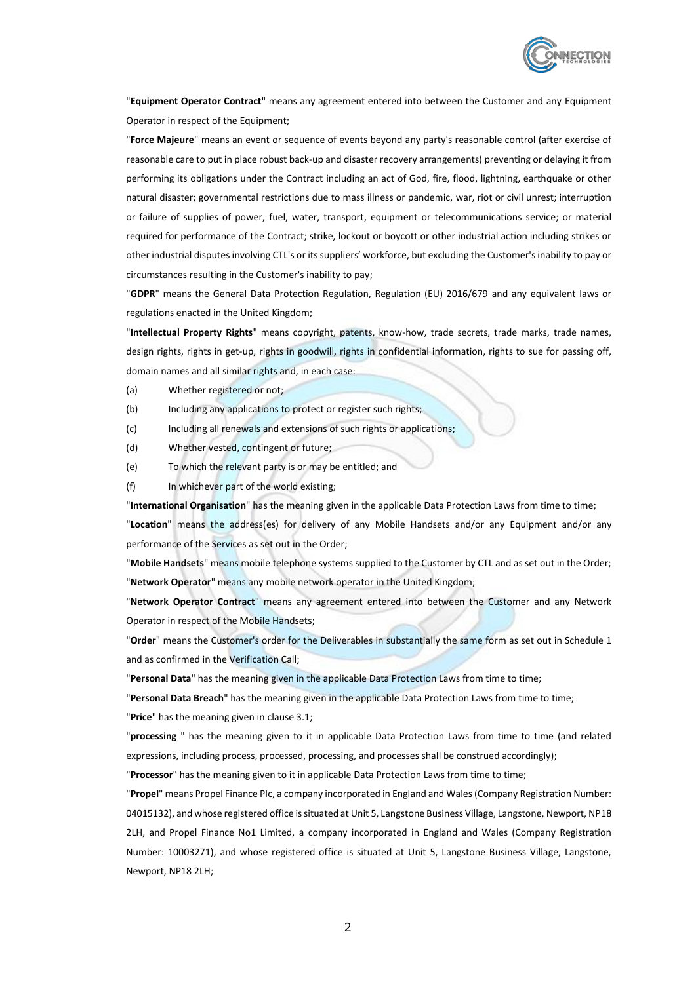

"**Equipment Operator Contract**" means any agreement entered into between the Customer and any Equipment Operator in respect of the Equipment;

"**Force Majeure**" means an event or sequence of events beyond any party's reasonable control (after exercise of reasonable care to put in place robust back-up and disaster recovery arrangements) preventing or delaying it from performing its obligations under the Contract including an act of God, fire, flood, lightning, earthquake or other natural disaster; governmental restrictions due to mass illness or pandemic, war, riot or civil unrest; interruption or failure of supplies of power, fuel, water, transport, equipment or telecommunications service; or material required for performance of the Contract; strike, lockout or boycott or other industrial action including strikes or other industrial disputes involving CTL's or its suppliers' workforce, but excluding the Customer's inability to pay or circumstances resulting in the Customer's inability to pay;

"**GDPR**" means the General Data Protection Regulation, Regulation (EU) 2016/679 and any equivalent laws or regulations enacted in the United Kingdom;

"**Intellectual Property Rights**" means copyright, patents, know-how, trade secrets, trade marks, trade names, design rights, rights in get-up, rights in goodwill, rights in confidential information, rights to sue for passing off, domain names and all similar rights and, in each case:

- (a) Whether registered or not;
- (b) Including any applications to protect or register such rights;
- (c) Including all renewals and extensions of such rights or applications;
- (d) Whether vested, contingent or future;
- (e) To which the relevant party is or may be entitled; and
- (f) In whichever part of the world existing;

"**International Organisation**" has the meaning given in the applicable Data Protection Laws from time to time;

"**Location**" means the address(es) for delivery of any Mobile Handsets and/or any Equipment and/or any performance of the Services as set out in the Order;

"**Mobile Handsets**" means mobile telephone systems supplied to the Customer by CTL and as set out in the Order; "**Network Operator**" means any mobile network operator in the United Kingdom;

"**Network Operator Contract**" means any agreement entered into between the Customer and any Network Operator in respect of the Mobile Handsets;

"**Order**" means the Customer's order for the Deliverables in substantially the same form as set out in Schedule 1 and as confirmed in the Verification Call;

"**Personal Data**" has the meaning given in the applicable Data Protection Laws from time to time;

"**Personal Data Breach**" has the meaning given in the applicable Data Protection Laws from time to time;

"**Price**" has the meaning given in clause [3.1;](#page-4-0)

"**processing** " has the meaning given to it in applicable Data Protection Laws from time to time (and related expressions, including process, processed, processing, and processes shall be construed accordingly);

"**Processor**" has the meaning given to it in applicable Data Protection Laws from time to time;

"**Propel**" means Propel Finance Plc, a company incorporated in England and Wales (Company Registration Number: 04015132), and whose registered office is situated at Unit 5, Langstone Business Village, Langstone, Newport, NP18 2LH, and Propel Finance No1 Limited, a company incorporated in England and Wales (Company Registration Number: 10003271), and whose registered office is situated at Unit 5, Langstone Business Village, Langstone, Newport, NP18 2LH;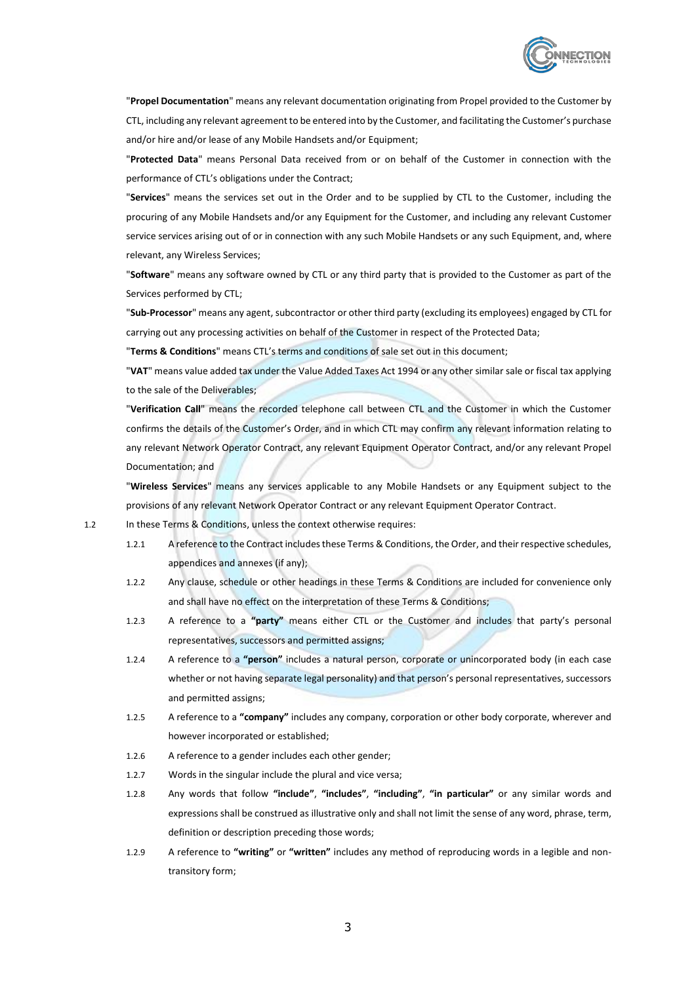

"**Propel Documentation**" means any relevant documentation originating from Propel provided to the Customer by CTL, including any relevant agreement to be entered into by the Customer, and facilitating the Customer's purchase and/or hire and/or lease of any Mobile Handsets and/or Equipment;

"**Protected Data**" means Personal Data received from or on behalf of the Customer in connection with the performance of CTL's obligations under the Contract;

"**Services**" means the services set out in the Order and to be supplied by CTL to the Customer, including the procuring of any Mobile Handsets and/or any Equipment for the Customer, and including any relevant Customer service services arising out of or in connection with any such Mobile Handsets or any such Equipment, and, where relevant, any Wireless Services;

"**Software**" means any software owned by CTL or any third party that is provided to the Customer as part of the Services performed by CTL;

"**Sub-Processor**" means any agent, subcontractor or other third party (excluding its employees) engaged by CTL for carrying out any processing activities on behalf of the Customer in respect of the Protected Data;

"**Terms & Conditions**" means CTL's terms and conditions of sale set out in this document;

"**VAT**" means value added tax under the Value Added Taxes Act 1994 or any other similar sale or fiscal tax applying to the sale of the Deliverables;

"**Verification Call**" means the recorded telephone call between CTL and the Customer in which the Customer confirms the details of the Customer's Order, and in which CTL may confirm any relevant information relating to any relevant Network Operator Contract, any relevant Equipment Operator Contract, and/or any relevant Propel Documentation; and

"**Wireless Services**" means any services applicable to any Mobile Handsets or any Equipment subject to the provisions of any relevant Network Operator Contract or any relevant Equipment Operator Contract.

1.2 In these Terms & Conditions, unless the context otherwise requires:

- 1.2.1 A reference to the Contract includes these Terms & Conditions, the Order, and their respective schedules, appendices and annexes (if any);
- 1.2.2 Any clause, schedule or other headings in these Terms & Conditions are included for convenience only and shall have no effect on the interpretation of these Terms & Conditions;
- 1.2.3 A reference to a **"party"** means either CTL or the Customer and includes that party's personal representatives, successors and permitted assigns;
- 1.2.4 A reference to a **"person"** includes a natural person, corporate or unincorporated body (in each case whether or not having separate legal personality) and that person's personal representatives, successors and permitted assigns;
- 1.2.5 A reference to a **"company"** includes any company, corporation or other body corporate, wherever and however incorporated or established;
- 1.2.6 A reference to a gender includes each other gender;
- 1.2.7 Words in the singular include the plural and vice versa;
- 1.2.8 Any words that follow **"include"**, **"includes"**, **"including"**, **"in particular"** or any similar words and expressions shall be construed as illustrative only and shall not limit the sense of any word, phrase, term, definition or description preceding those words;
- 1.2.9 A reference to **"writing"** or **"written"** includes any method of reproducing words in a legible and nontransitory form;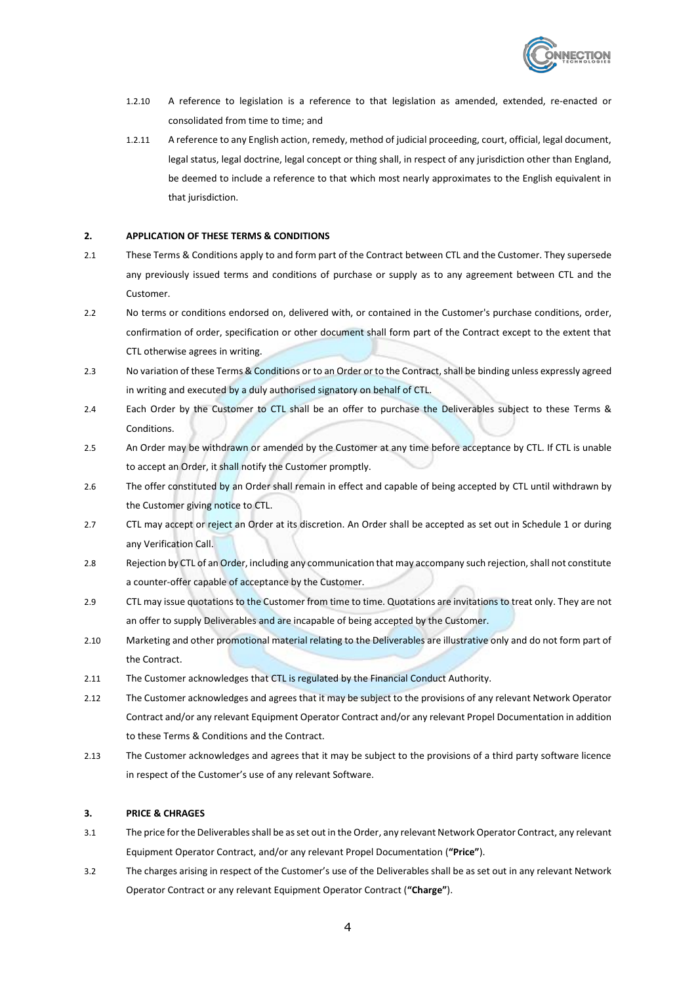

- 1.2.10 A reference to legislation is a reference to that legislation as amended, extended, re-enacted or consolidated from time to time; and
- 1.2.11 A reference to any English action, remedy, method of judicial proceeding, court, official, legal document, legal status, legal doctrine, legal concept or thing shall, in respect of any jurisdiction other than England, be deemed to include a reference to that which most nearly approximates to the English equivalent in that jurisdiction.

## **2. APPLICATION OF THESE TERMS & CONDITIONS**

- 2.1 These Terms & Conditions apply to and form part of the Contract between CTL and the Customer. They supersede any previously issued terms and conditions of purchase or supply as to any agreement between CTL and the Customer.
- 2.2 No terms or conditions endorsed on, delivered with, or contained in the Customer's purchase conditions, order, confirmation of order, specification or other document shall form part of the Contract except to the extent that CTL otherwise agrees in writing.
- 2.3 No variation of these Terms & Conditions or to an Order or to the Contract, shall be binding unless expressly agreed in writing and executed by a duly authorised signatory on behalf of CTL.
- 2.4 Each Order by the Customer to CTL shall be an offer to purchase the Deliverables subject to these Terms & Conditions.
- 2.5 An Order may be withdrawn or amended by the Customer at any time before acceptance by CTL. If CTL is unable to accept an Order, it shall notify the Customer promptly.
- 2.6 The offer constituted by an Order shall remain in effect and capable of being accepted by CTL until withdrawn by the Customer giving notice to CTL.
- 2.7 CTL may accept or reject an Order at its discretion. An Order shall be accepted as set out in Schedule 1 or during any Verification Call.
- 2.8 Rejection by CTL of an Order, including any communication that may accompany such rejection, shall not constitute a counter-offer capable of acceptance by the Customer.
- 2.9 CTL may issue quotations to the Customer from time to time. Quotations are invitations to treat only. They are not an offer to supply Deliverables and are incapable of being accepted by the Customer.
- 2.10 Marketing and other promotional material relating to the Deliverables are illustrative only and do not form part of the Contract.
- 2.11 The Customer acknowledges that CTL is regulated by the Financial Conduct Authority.
- 2.12 The Customer acknowledges and agrees that it may be subject to the provisions of any relevant Network Operator Contract and/or any relevant Equipment Operator Contract and/or any relevant Propel Documentation in addition to these Terms & Conditions and the Contract.
- 2.13 The Customer acknowledges and agrees that it may be subject to the provisions of a third party software licence in respect of the Customer's use of any relevant Software.

#### **3. PRICE & CHRAGES**

- <span id="page-4-0"></span>3.1 The price for the Deliverables shall be as set out in the Order, any relevant Network Operator Contract, any relevant Equipment Operator Contract, and/or any relevant Propel Documentation (**"Price"**).
- 3.2 The charges arising in respect of the Customer's use of the Deliverables shall be as set out in any relevant Network Operator Contract or any relevant Equipment Operator Contract (**"Charge"**).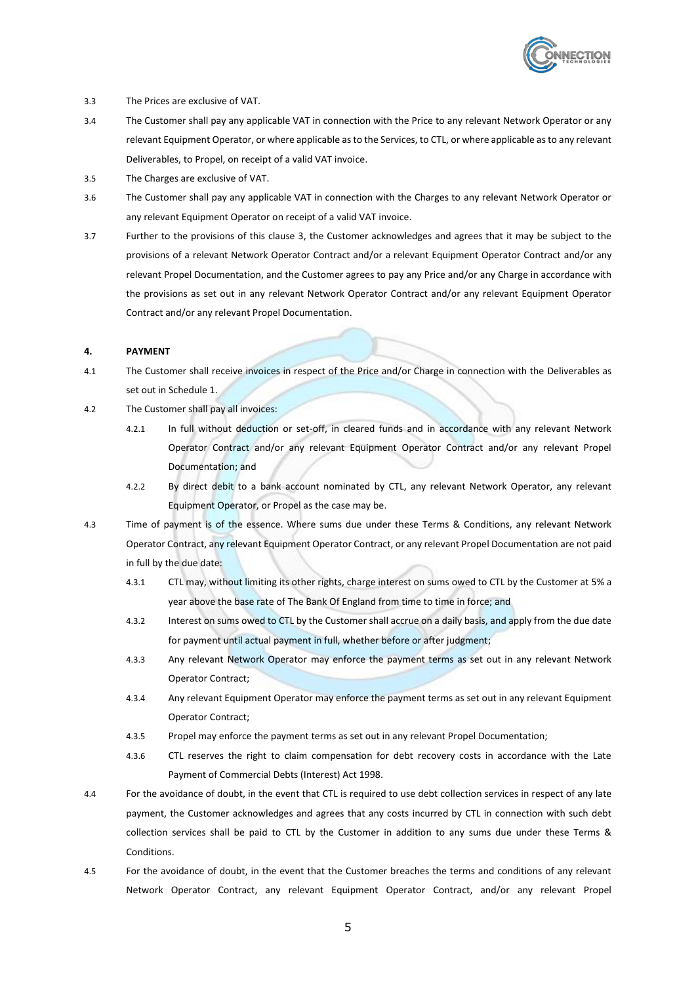

- 3.3 The Prices are exclusive of VAT.
- 3.4 The Customer shall pay any applicable VAT in connection with the Price to any relevant Network Operator or any relevant Equipment Operator, or where applicable as to the Services, to CTL, or where applicable as to any relevant Deliverables, to Propel, on receipt of a valid VAT invoice.
- 3.5 The Charges are exclusive of VAT.
- 3.6 The Customer shall pay any applicable VAT in connection with the Charges to any relevant Network Operator or any relevant Equipment Operator on receipt of a valid VAT invoice.
- 3.7 Further to the provisions of this clause 3, the Customer acknowledges and agrees that it may be subject to the provisions of a relevant Network Operator Contract and/or a relevant Equipment Operator Contract and/or any relevant Propel Documentation, and the Customer agrees to pay any Price and/or any Charge in accordance with the provisions as set out in any relevant Network Operator Contract and/or any relevant Equipment Operator Contract and/or any relevant Propel Documentation.

## **4. PAYMENT**

- 4.1 The Customer shall receive invoices in respect of the Price and/or Charge in connection with the Deliverables as set out in Schedule 1.
- 4.2 The Customer shall pay all invoices:
	- 4.2.1 In full without deduction or set-off, in cleared funds and in accordance with any relevant Network Operator Contract and/or any relevant Equipment Operator Contract and/or any relevant Propel Documentation; and
	- 4.2.2 By direct debit to a bank account nominated by CTL, any relevant Network Operator, any relevant Equipment Operator, or Propel as the case may be.
- 4.3 Time of payment is of the essence. Where sums due under these Terms & Conditions, any relevant Network Operator Contract, any relevant Equipment Operator Contract, or any relevant Propel Documentation are not paid in full by the due date:
	- 4.3.1 CTL may, without limiting its other rights, charge interest on sums owed to CTL by the Customer at 5% a year above the base rate of The Bank Of England from time to time in force; and
	- 4.3.2 Interest on sums owed to CTL by the Customer shall accrue on a daily basis, and apply from the due date for payment until actual payment in full, whether before or after judgment;
	- 4.3.3 Any relevant Network Operator may enforce the payment terms as set out in any relevant Network Operator Contract;
	- 4.3.4 Any relevant Equipment Operator may enforce the payment terms as set out in any relevant Equipment Operator Contract;
	- 4.3.5 Propel may enforce the payment terms as set out in any relevant Propel Documentation;
	- 4.3.6 CTL reserves the right to claim compensation for debt recovery costs in accordance with the Late Payment of Commercial Debts (Interest) Act 1998.
- 4.4 For the avoidance of doubt, in the event that CTL is required to use debt collection services in respect of any late payment, the Customer acknowledges and agrees that any costs incurred by CTL in connection with such debt collection services shall be paid to CTL by the Customer in addition to any sums due under these Terms & Conditions.
- 4.5 For the avoidance of doubt, in the event that the Customer breaches the terms and conditions of any relevant Network Operator Contract, any relevant Equipment Operator Contract, and/or any relevant Propel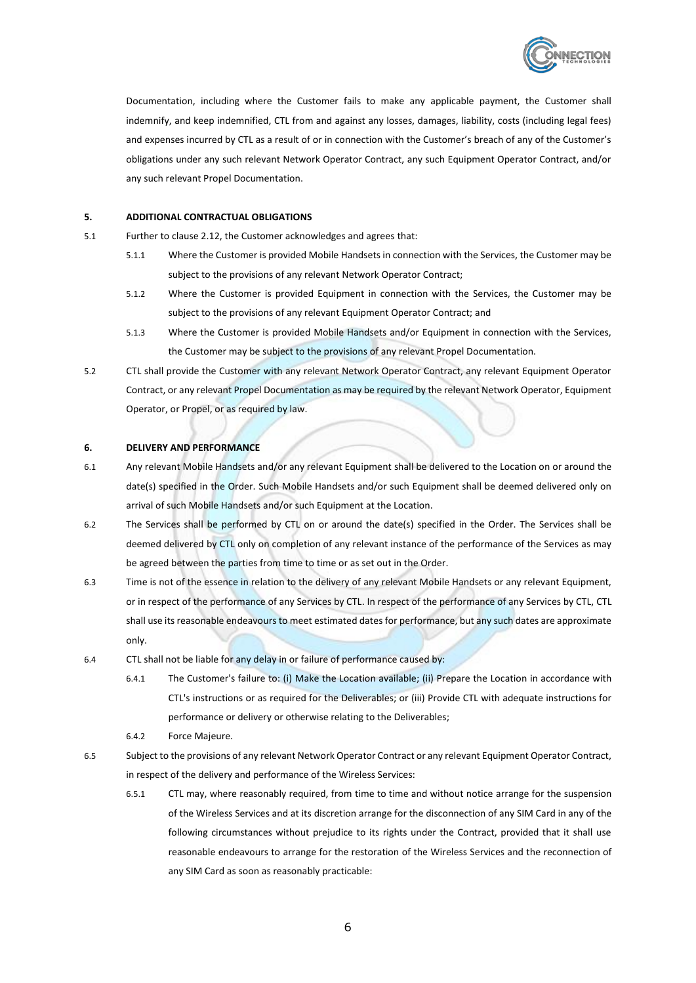

Documentation, including where the Customer fails to make any applicable payment, the Customer shall indemnify, and keep indemnified, CTL from and against any losses, damages, liability, costs (including legal fees) and expenses incurred by CTL as a result of or in connection with the Customer's breach of any of the Customer's obligations under any such relevant Network Operator Contract, any such Equipment Operator Contract, and/or any such relevant Propel Documentation.

# **5. ADDITIONAL CONTRACTUAL OBLIGATIONS**

- 5.1 Further to clause 2.12, the Customer acknowledges and agrees that:
	- 5.1.1 Where the Customer is provided Mobile Handsets in connection with the Services, the Customer may be subject to the provisions of any relevant Network Operator Contract;
	- 5.1.2 Where the Customer is provided Equipment in connection with the Services, the Customer may be subject to the provisions of any relevant Equipment Operator Contract; and
	- 5.1.3 Where the Customer is provided Mobile Handsets and/or Equipment in connection with the Services, the Customer may be subject to the provisions of any relevant Propel Documentation.
- 5.2 CTL shall provide the Customer with any relevant Network Operator Contract, any relevant Equipment Operator Contract, or any relevant Propel Documentation as may be required by the relevant Network Operator, Equipment Operator, or Propel, or as required by law.

# **6. DELIVERY AND PERFORMANCE**

- 6.1 Any relevant Mobile Handsets and/or any relevant Equipment shall be delivered to the Location on or around the date(s) specified in the Order. Such Mobile Handsets and/or such Equipment shall be deemed delivered only on arrival of such Mobile Handsets and/or such Equipment at the Location.
- 6.2 The Services shall be performed by CTL on or around the date(s) specified in the Order. The Services shall be deemed delivered by CTL only on completion of any relevant instance of the performance of the Services as may be agreed between the parties from time to time or as set out in the Order.
- 6.3 Time is not of the essence in relation to the delivery of any relevant Mobile Handsets or any relevant Equipment, or in respect of the performance of any Services by CTL. In respect of the performance of any Services by CTL, CTL shall use its reasonable endeavours to meet estimated dates for performance, but any such dates are approximate only.
- 6.4 CTL shall not be liable for any delay in or failure of performance caused by:
	- 6.4.1 The Customer's failure to: (i) Make the Location available; (ii) Prepare the Location in accordance with CTL's instructions or as required for the Deliverables; or (iii) Provide CTL with adequate instructions for performance or delivery or otherwise relating to the Deliverables;
	- 6.4.2 Force Majeure.
- 6.5 Subject to the provisions of any relevant Network Operator Contract or any relevant Equipment Operator Contract, in respect of the delivery and performance of the Wireless Services:
	- 6.5.1 CTL may, where reasonably required, from time to time and without notice arrange for the suspension of the Wireless Services and at its discretion arrange for the disconnection of any SIM Card in any of the following circumstances without prejudice to its rights under the Contract, provided that it shall use reasonable endeavours to arrange for the restoration of the Wireless Services and the reconnection of any SIM Card as soon as reasonably practicable: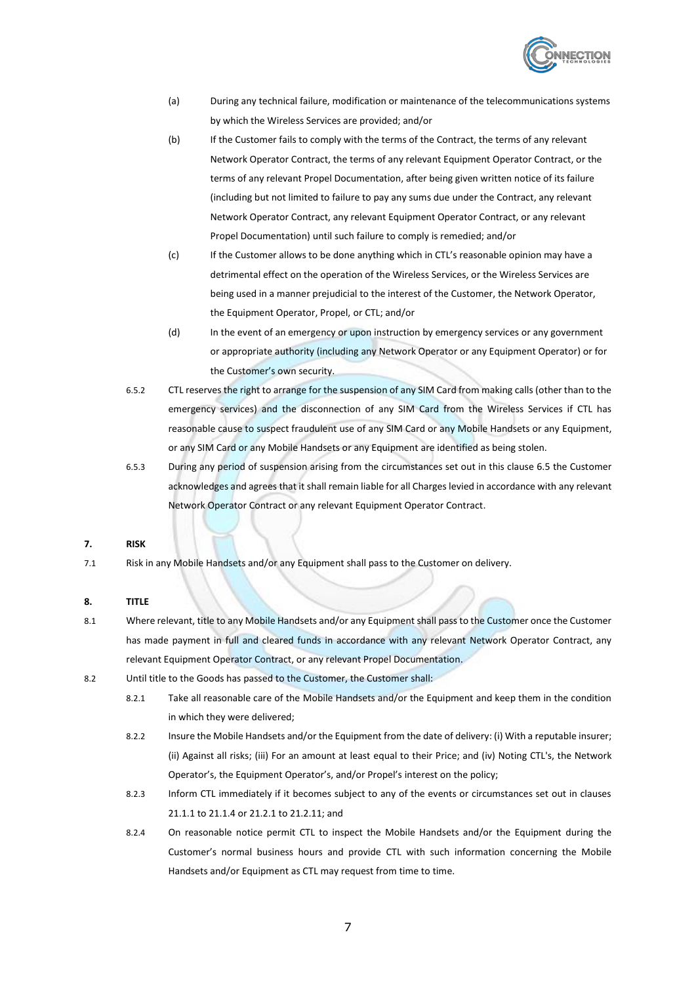

- (a) During any technical failure, modification or maintenance of the telecommunications systems by which the Wireless Services are provided; and/or
- (b) If the Customer fails to comply with the terms of the Contract, the terms of any relevant Network Operator Contract, the terms of any relevant Equipment Operator Contract, or the terms of any relevant Propel Documentation, after being given written notice of its failure (including but not limited to failure to pay any sums due under the Contract, any relevant Network Operator Contract, any relevant Equipment Operator Contract, or any relevant Propel Documentation) until such failure to comply is remedied; and/or
- (c) If the Customer allows to be done anything which in CTL's reasonable opinion may have a detrimental effect on the operation of the Wireless Services, or the Wireless Services are being used in a manner prejudicial to the interest of the Customer, the Network Operator, the Equipment Operator, Propel, or CTL; and/or
- (d) In the event of an emergency or upon instruction by emergency services or any government or appropriate authority (including any Network Operator or any Equipment Operator) or for the Customer's own security.
- 6.5.2 CTL reserves the right to arrange for the suspension of any SIM Card from making calls (other than to the emergency services) and the disconnection of any SIM Card from the Wireless Services if CTL has reasonable cause to suspect fraudulent use of any SIM Card or any Mobile Handsets or any Equipment, or any SIM Card or any Mobile Handsets or any Equipment are identified as being stolen.
- 6.5.3 During any period of suspension arising from the circumstances set out in this clause 6.5 the Customer acknowledges and agrees that it shall remain liable for all Charges levied in accordance with any relevant Network Operator Contract or any relevant Equipment Operator Contract.

## **7. RISK**

7.1 Risk in any Mobile Handsets and/or any Equipment shall pass to the Customer on delivery.

## **8. TITLE**

- 8.1 Where relevant, title to any Mobile Handsets and/or any Equipment shall pass to the Customer once the Customer has made payment in full and cleared funds in accordance with any relevant Network Operator Contract, any relevant Equipment Operator Contract, or any relevant Propel Documentation.
- 8.2 Until title to the Goods has passed to the Customer, the Customer shall:
	- 8.2.1 Take all reasonable care of the Mobile Handsets and/or the Equipment and keep them in the condition in which they were delivered;
	- 8.2.2 Insure the Mobile Handsets and/or the Equipment from the date of delivery: (i) With a reputable insurer; (ii) Against all risks; (iii) For an amount at least equal to their Price; and (iv) Noting CTL's, the Network Operator's, the Equipment Operator's, and/or Propel's interest on the policy;
	- 8.2.3 Inform CTL immediately if it becomes subject to any of the events or circumstances set out in clauses [21.1.1](#page-14-0) t[o 21.1.4](#page-14-1) o[r 21.2.1](#page-14-2) t[o 21.2.11;](#page-15-0) and
	- 8.2.4 On reasonable notice permit CTL to inspect the Mobile Handsets and/or the Equipment during the Customer's normal business hours and provide CTL with such information concerning the Mobile Handsets and/or Equipment as CTL may request from time to time.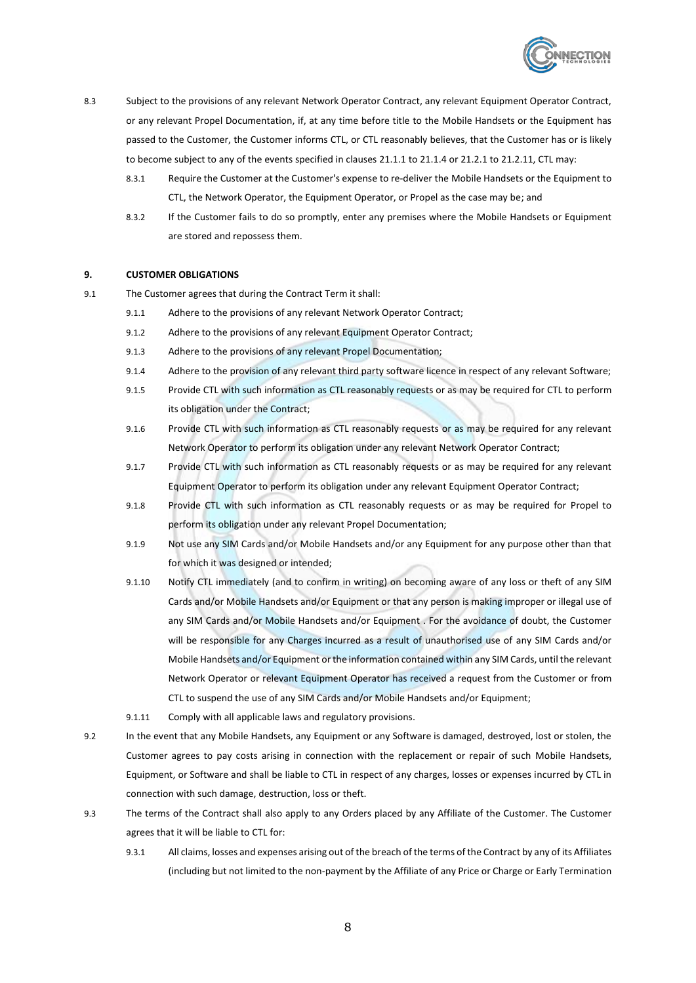

- 8.3 Subject to the provisions of any relevant Network Operator Contract, any relevant Equipment Operator Contract, or any relevant Propel Documentation, if, at any time before title to the Mobile Handsets or the Equipment has passed to the Customer, the Customer informs CTL, or CTL reasonably believes, that the Customer has or is likely to become subject to any of the events specified in clauses [21.1.1](#page-14-0) to [21.1.4](#page-14-1) o[r 21.2.1](#page-14-2) t[o 21.2.11,](#page-15-0) CTL may:
	- 8.3.1 Require the Customer at the Customer's expense to re-deliver the Mobile Handsets or the Equipment to CTL, the Network Operator, the Equipment Operator, or Propel as the case may be; and
	- 8.3.2 If the Customer fails to do so promptly, enter any premises where the Mobile Handsets or Equipment are stored and repossess them.

#### **9. CUSTOMER OBLIGATIONS**

- 9.1 The Customer agrees that during the Contract Term it shall:
	- 9.1.1 Adhere to the provisions of any relevant Network Operator Contract;
	- 9.1.2 Adhere to the provisions of any relevant Equipment Operator Contract;
	- 9.1.3 Adhere to the provisions of any relevant Propel Documentation;
	- 9.1.4 Adhere to the provision of any relevant third party software licence in respect of any relevant Software;
	- 9.1.5 Provide CTL with such information as CTL reasonably requests or as may be required for CTL to perform its obligation under the Contract;
	- 9.1.6 Provide CTL with such information as CTL reasonably requests or as may be required for any relevant Network Operator to perform its obligation under any relevant Network Operator Contract;
	- 9.1.7 Provide CTL with such information as CTL reasonably requests or as may be required for any relevant Equipment Operator to perform its obligation under any relevant Equipment Operator Contract;
	- 9.1.8 Provide CTL with such information as CTL reasonably requests or as may be required for Propel to perform its obligation under any relevant Propel Documentation;
	- 9.1.9 Not use any SIM Cards and/or Mobile Handsets and/or any Equipment for any purpose other than that for which it was designed or intended;
	- 9.1.10 Notify CTL immediately (and to confirm in writing) on becoming aware of any loss or theft of any SIM Cards and/or Mobile Handsets and/or Equipment or that any person is making improper or illegal use of any SIM Cards and/or Mobile Handsets and/or Equipment . For the avoidance of doubt, the Customer will be responsible for any Charges incurred as a result of unauthorised use of any SIM Cards and/or Mobile Handsets and/or Equipment or the information contained within any SIM Cards, until the relevant Network Operator or relevant Equipment Operator has received a request from the Customer or from CTL to suspend the use of any SIM Cards and/or Mobile Handsets and/or Equipment;
	- 9.1.11 Comply with all applicable laws and regulatory provisions.
- 9.2 In the event that any Mobile Handsets, any Equipment or any Software is damaged, destroyed, lost or stolen, the Customer agrees to pay costs arising in connection with the replacement or repair of such Mobile Handsets, Equipment, or Software and shall be liable to CTL in respect of any charges, losses or expenses incurred by CTL in connection with such damage, destruction, loss or theft.
- 9.3 The terms of the Contract shall also apply to any Orders placed by any Affiliate of the Customer. The Customer agrees that it will be liable to CTL for:
	- 9.3.1 All claims, losses and expenses arising out of the breach of the terms of the Contract by any of its Affiliates (including but not limited to the non-payment by the Affiliate of any Price or Charge or Early Termination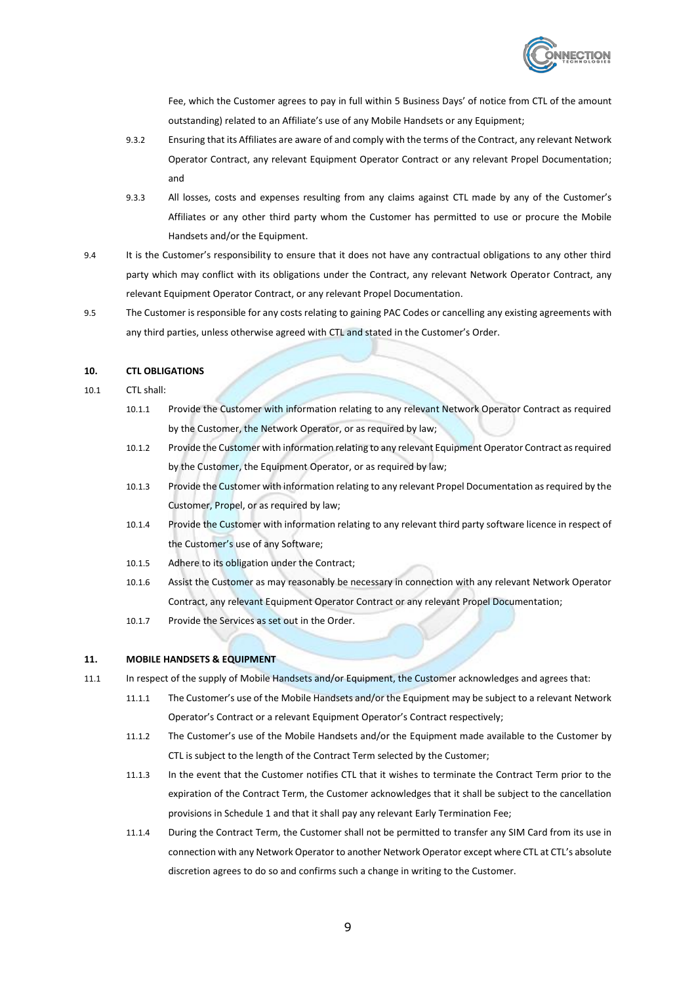

Fee, which the Customer agrees to pay in full within 5 Business Days' of notice from CTL of the amount outstanding) related to an Affiliate's use of any Mobile Handsets or any Equipment;

- 9.3.2 Ensuring that its Affiliates are aware of and comply with the terms of the Contract, any relevant Network Operator Contract, any relevant Equipment Operator Contract or any relevant Propel Documentation; and
- 9.3.3 All losses, costs and expenses resulting from any claims against CTL made by any of the Customer's Affiliates or any other third party whom the Customer has permitted to use or procure the Mobile Handsets and/or the Equipment.
- 9.4 It is the Customer's responsibility to ensure that it does not have any contractual obligations to any other third party which may conflict with its obligations under the Contract, any relevant Network Operator Contract, any relevant Equipment Operator Contract, or any relevant Propel Documentation.
- 9.5 The Customer is responsible for any costs relating to gaining PAC Codes or cancelling any existing agreements with any third parties, unless otherwise agreed with CTL and stated in the Customer's Order.

# **10. CTL OBLIGATIONS**

- 10.1 CTL shall:
	- 10.1.1 Provide the Customer with information relating to any relevant Network Operator Contract as required by the Customer, the Network Operator, or as required by law;
	- 10.1.2 Provide the Customer with information relating to any relevant Equipment Operator Contract as required by the Customer, the Equipment Operator, or as required by law;
	- 10.1.3 Provide the Customer with information relating to any relevant Propel Documentation as required by the Customer, Propel, or as required by law;
	- 10.1.4 Provide the Customer with information relating to any relevant third party software licence in respect of the Customer's use of any Software;
	- 10.1.5 Adhere to its obligation under the Contract;
	- 10.1.6 Assist the Customer as may reasonably be necessary in connection with any relevant Network Operator Contract, any relevant Equipment Operator Contract or any relevant Propel Documentation;
	- 10.1.7 Provide the Services as set out in the Order.

# **11. MOBILE HANDSETS & EQUIPMENT**

- 11.1 In respect of the supply of Mobile Handsets and/or Equipment, the Customer acknowledges and agrees that:
	- 11.1.1 The Customer's use of the Mobile Handsets and/or the Equipment may be subject to a relevant Network Operator's Contract or a relevant Equipment Operator's Contract respectively;
	- 11.1.2 The Customer's use of the Mobile Handsets and/or the Equipment made available to the Customer by CTL is subject to the length of the Contract Term selected by the Customer;
	- 11.1.3 In the event that the Customer notifies CTL that it wishes to terminate the Contract Term prior to the expiration of the Contract Term, the Customer acknowledges that it shall be subject to the cancellation provisions in Schedule 1 and that it shall pay any relevant Early Termination Fee;
	- 11.1.4 During the Contract Term, the Customer shall not be permitted to transfer any SIM Card from its use in connection with any Network Operator to another Network Operator except where CTL at CTL's absolute discretion agrees to do so and confirms such a change in writing to the Customer.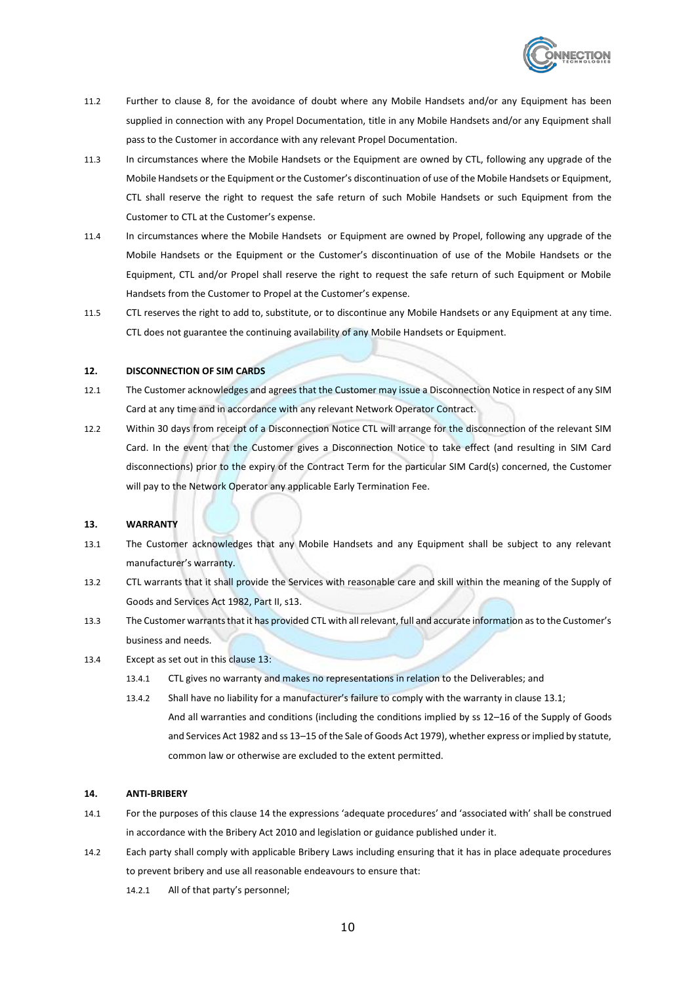

- 11.2 Further to clause 8, for the avoidance of doubt where any Mobile Handsets and/or any Equipment has been supplied in connection with any Propel Documentation, title in any Mobile Handsets and/or any Equipment shall pass to the Customer in accordance with any relevant Propel Documentation.
- 11.3 In circumstances where the Mobile Handsets or the Equipment are owned by CTL, following any upgrade of the Mobile Handsets or the Equipment or the Customer's discontinuation of use of the Mobile Handsets or Equipment, CTL shall reserve the right to request the safe return of such Mobile Handsets or such Equipment from the Customer to CTL at the Customer's expense.
- 11.4 In circumstances where the Mobile Handsets or Equipment are owned by Propel, following any upgrade of the Mobile Handsets or the Equipment or the Customer's discontinuation of use of the Mobile Handsets or the Equipment, CTL and/or Propel shall reserve the right to request the safe return of such Equipment or Mobile Handsets from the Customer to Propel at the Customer's expense.
- 11.5 CTL reserves the right to add to, substitute, or to discontinue any Mobile Handsets or any Equipment at any time. CTL does not guarantee the continuing availability of any Mobile Handsets or Equipment.

#### **12. DISCONNECTION OF SIM CARDS**

- 12.1 The Customer acknowledges and agrees that the Customer may issue a Disconnection Notice in respect of any SIM Card at any time and in accordance with any relevant Network Operator Contract.
- 12.2 Within 30 days from receipt of a Disconnection Notice CTL will arrange for the disconnection of the relevant SIM Card. In the event that the Customer gives a Disconnection Notice to take effect (and resulting in SIM Card disconnections) prior to the expiry of the Contract Term for the particular SIM Card(s) concerned, the Customer will pay to the Network Operator any applicable Early Termination Fee.

#### <span id="page-10-0"></span>**13. WARRANTY**

- <span id="page-10-1"></span>13.1 The Customer acknowledges that any Mobile Handsets and any Equipment shall be subject to any relevant manufacturer's warranty.
- 13.2 CTL warrants that it shall provide the Services with reasonable care and skill within the meaning of the Supply of Goods and Services Act 1982, Part II, s13.
- 13.3 The Customer warrants that it has provided CTL with all relevant, full and accurate information as to the Customer's business and needs.
- 13.4 Except as set out in this clause [13:](#page-10-0)
	- 13.4.1 CTL gives no warranty and makes no representations in relation to the Deliverables; and
	- 13.4.2 Shall have no liability for a manufacturer's failure to comply with the warranty in claus[e 13.1;](#page-10-1) And all warranties and conditions (including the conditions implied by ss 12–16 of the Supply of Goods and Services Act 1982 and ss 13–15 of the Sale of Goods Act 1979), whether express or implied by statute, common law or otherwise are excluded to the extent permitted.

#### <span id="page-10-2"></span>**14. ANTI-BRIBERY**

- 14.1 For the purposes of this clause [14](#page-10-2) the expressions 'adequate procedures' and 'associated with' shall be construed in accordance with the Bribery Act 2010 and legislation or guidance published under it.
- <span id="page-10-3"></span>14.2 Each party shall comply with applicable Bribery Laws including ensuring that it has in place adequate procedures to prevent bribery and use all reasonable endeavours to ensure that:
	- 14.2.1 All of that party's personnel;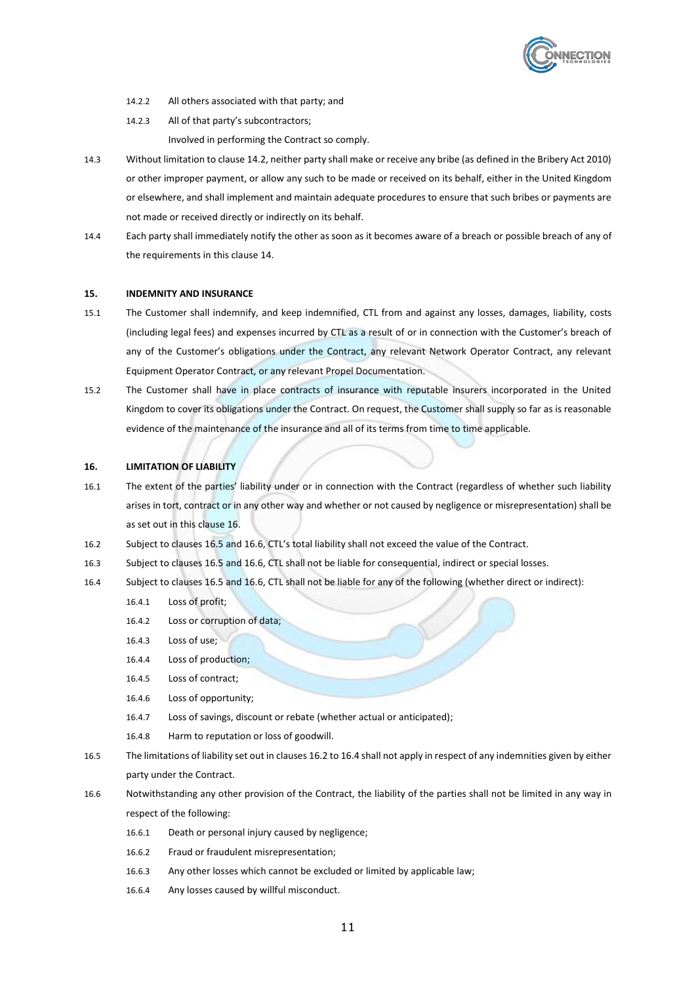

- 14.2.2 All others associated with that party; and
- 14.2.3 All of that party's subcontractors;
	- Involved in performing the Contract so comply.
- 14.3 Without limitation to claus[e 14.2,](#page-10-3) neither party shall make or receive any bribe (as defined in the Bribery Act 2010) or other improper payment, or allow any such to be made or received on its behalf, either in the United Kingdom or elsewhere, and shall implement and maintain adequate procedures to ensure that such bribes or payments are not made or received directly or indirectly on its behalf.
- 14.4 Each party shall immediately notify the other as soon as it becomes aware of a breach or possible breach of any of the requirements in this clause [14.](#page-10-2)

#### **15. INDEMNITY AND INSURANCE**

- 15.1 The Customer shall indemnify, and keep indemnified, CTL from and against any losses, damages, liability, costs (including legal fees) and expenses incurred by CTL as a result of or in connection with the Customer's breach of any of the Customer's obligations under the Contract, any relevant Network Operator Contract, any relevant Equipment Operator Contract, or any relevant Propel Documentation.
- 15.2 The Customer shall have in place contracts of insurance with reputable insurers incorporated in the United Kingdom to cover its obligations under the Contract. On request, the Customer shall supply so far as is reasonable evidence of the maintenance of the insurance and all of its terms from time to time applicable.

## <span id="page-11-0"></span>**16. LIMITATION OF LIABILITY**

- 16.1 The extent of the parties' liability under or in connection with the Contract (regardless of whether such liability arises in tort, contract or in any other way and whether or not caused by negligence or misrepresentation) shall be as set out in this claus[e 16.](#page-11-0)
- <span id="page-11-3"></span>16.2 Subject to clause[s 16.5](#page-11-1) an[d 16.6,](#page-11-2) CTL's total liability shall not exceed the value of the Contract.
- 16.3 Subject to clause[s 16.5](#page-11-1) an[d 16.6,](#page-11-2) CTL shall not be liable for consequential, indirect or special losses.
- <span id="page-11-4"></span>16.4 Subject to clause[s 16.5](#page-11-1) an[d 16.6,](#page-11-2) CTL shall not be liable for any of the following (whether direct or indirect):
	- 16.4.1 Loss of profit;
	- 16.4.2 Loss or corruption of data;
	- 16.4.3 Loss of use;
	- 16.4.4 Loss of production;
	- 16.4.5 Loss of contract;
	- 16.4.6 Loss of opportunity;
	- 16.4.7 Loss of savings, discount or rebate (whether actual or anticipated);
	- 16.4.8 Harm to reputation or loss of goodwill.
- <span id="page-11-1"></span>16.5 The limitations of liability set out in clause[s 16.2](#page-11-3) t[o 16.4](#page-11-4) shall not apply in respect of any indemnities given by either party under the Contract.
- <span id="page-11-2"></span>16.6 Notwithstanding any other provision of the Contract, the liability of the parties shall not be limited in any way in respect of the following:
	- 16.6.1 Death or personal injury caused by negligence;
	- 16.6.2 Fraud or fraudulent misrepresentation;
	- 16.6.3 Any other losses which cannot be excluded or limited by applicable law;
	- 16.6.4 Any losses caused by willful misconduct.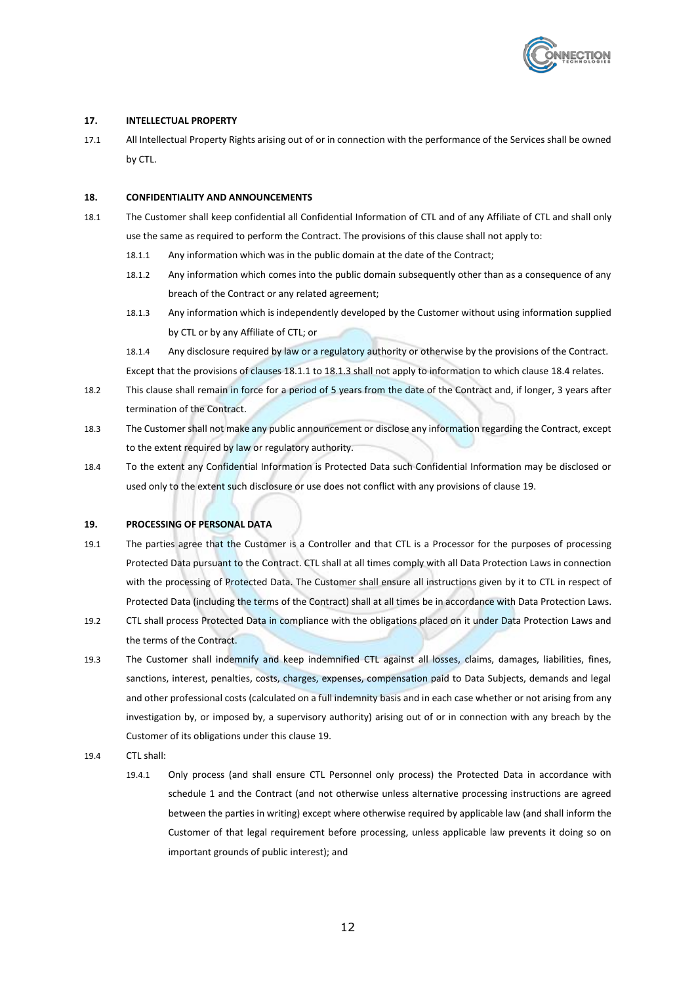<span id="page-12-2"></span><span id="page-12-0"></span>

## **17. INTELLECTUAL PROPERTY**

17.1 All Intellectual Property Rights arising out of or in connection with the performance of the Services shall be owned by CTL.

## **18. CONFIDENTIALITY AND ANNOUNCEMENTS**

- 18.1 The Customer shall keep confidential all Confidential Information of CTL and of any Affiliate of CTL and shall only use the same as required to perform the Contract. The provisions of this clause shall not apply to:
	- 18.1.1 Any information which was in the public domain at the date of the Contract;
	- 18.1.2 Any information which comes into the public domain subsequently other than as a consequence of any breach of the Contract or any related agreement;
	- 18.1.3 Any information which is independently developed by the Customer without using information supplied by CTL or by any Affiliate of CTL; or
	- 18.1.4 Any disclosure required by law or a regulatory authority or otherwise by the provisions of the Contract. Except that the provisions of clauses [18.1.1](#page-12-0) t[o 18.1.3](#page-12-1) shall not apply to information to which claus[e 18.4](#page-12-2) relates.
- <span id="page-12-1"></span>18.2 This clause shall remain in force for a period of 5 years from the date of the Contract and, if longer, 3 years after termination of the Contract.
- 18.3 The Customer shall not make any public announcement or disclose any information regarding the Contract, except to the extent required by law or regulatory authority.
- 18.4 To the extent any Confidential Information is Protected Data such Confidential Information may be disclosed or used only to the extent such disclosure or use does not conflict with any provisions of claus[e 19.](#page-12-3)

#### <span id="page-12-3"></span>**19. PROCESSING OF PERSONAL DATA**

- 19.1 The parties agree that the Customer is a Controller and that CTL is a Processor for the purposes of processing Protected Data pursuant to the Contract. CTL shall at all times comply with all Data Protection Laws in connection with the processing of Protected Data. The Customer shall ensure all instructions given by it to CTL in respect of Protected Data (including the terms of the Contract) shall at all times be in accordance with Data Protection Laws.
- 19.2 CTL shall process Protected Data in compliance with the obligations placed on it under Data Protection Laws and the terms of the Contract.
- 19.3 The Customer shall indemnify and keep indemnified CTL against all losses, claims, damages, liabilities, fines, sanctions, interest, penalties, costs, charges, expenses, compensation paid to Data Subjects, demands and legal and other professional costs (calculated on a full indemnity basis and in each case whether or not arising from any investigation by, or imposed by, a supervisory authority) arising out of or in connection with any breach by the Customer of its obligations under this claus[e 19.](#page-12-3)
- 19.4 CTL shall:
	- 19.4.1 Only process (and shall ensure CTL Personnel only process) the Protected Data in accordance with [schedule 1](#page-19-0) and the Contract (and not otherwise unless alternative processing instructions are agreed between the parties in writing) except where otherwise required by applicable law (and shall inform the Customer of that legal requirement before processing, unless applicable law prevents it doing so on important grounds of public interest); and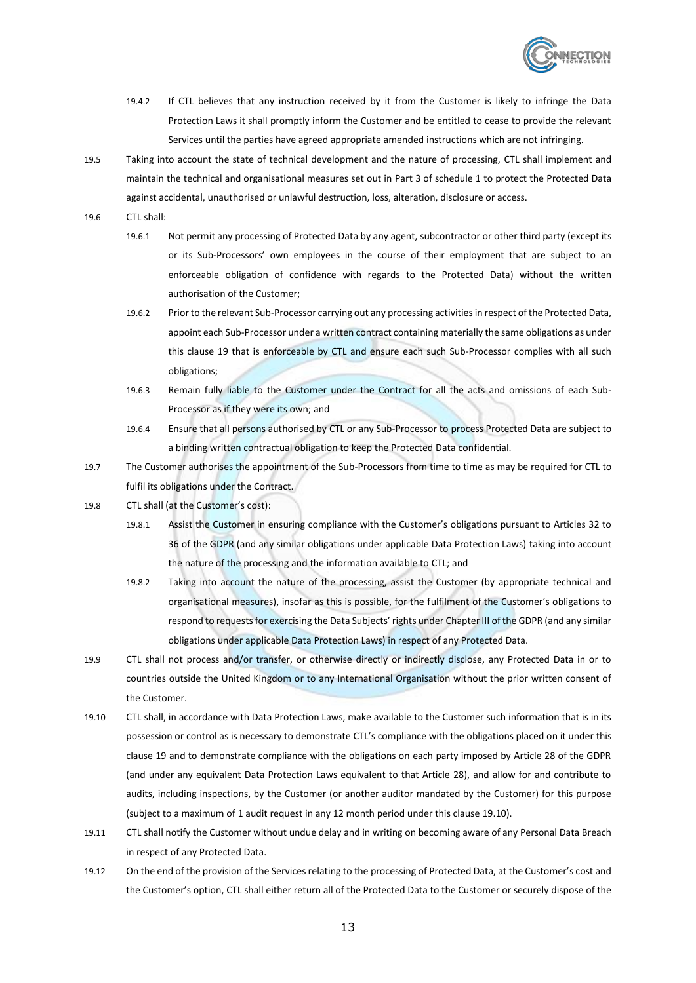

- 19.4.2 If CTL believes that any instruction received by it from the Customer is likely to infringe the Data Protection Laws it shall promptly inform the Customer and be entitled to cease to provide the relevant Services until the parties have agreed appropriate amended instructions which are not infringing.
- 19.5 Taking into account the state of technical development and the nature of processing, CTL shall implement and maintain the technical and organisational measures set out in [Part 3](#page-21-0) of [schedule 1](#page-19-0) to protect the Protected Data against accidental, unauthorised or unlawful destruction, loss, alteration, disclosure or access.

19.6 CTL shall:

- 19.6.1 Not permit any processing of Protected Data by any agent, subcontractor or other third party (except its or its Sub-Processors' own employees in the course of their employment that are subject to an enforceable obligation of confidence with regards to the Protected Data) without the written authorisation of the Customer;
- 19.6.2 Prior to the relevant Sub-Processor carrying out any processing activities in respect of the Protected Data, appoint each Sub-Processor under a written contract containing materially the same obligations as under this clause [19](#page-12-3) that is enforceable by CTL and ensure each such Sub-Processor complies with all such obligations;
- 19.6.3 Remain fully liable to the Customer under the Contract for all the acts and omissions of each Sub-Processor as if they were its own; and
- 19.6.4 Ensure that all persons authorised by CTL or any Sub-Processor to process Protected Data are subject to a binding written contractual obligation to keep the Protected Data confidential.
- 19.7 The Customer authorises the appointment of the Sub-Processors from time to time as may be required for CTL to fulfil its obligations under the Contract.
- 19.8 CTL shall (at the Customer's cost):
	- 19.8.1 Assist the Customer in ensuring compliance with the Customer's obligations pursuant to Articles 32 to 36 of the GDPR (and any similar obligations under applicable Data Protection Laws) taking into account the nature of the processing and the information available to CTL; and
	- 19.8.2 Taking into account the nature of the processing, assist the Customer (by appropriate technical and organisational measures), insofar as this is possible, for the fulfilment of the Customer's obligations to respond to requests for exercising the Data Subjects' rights under Chapter III of the GDPR (and any similar obligations under applicable Data Protection Laws) in respect of any Protected Data.
- 19.9 CTL shall not process and/or transfer, or otherwise directly or indirectly disclose, any Protected Data in or to countries outside the United Kingdom or to any International Organisation without the prior written consent of the Customer.
- 19.10 CTL shall, in accordance with Data Protection Laws, make available to the Customer such information that is in its possession or control as is necessary to demonstrate CTL's compliance with the obligations placed on it under this clause [19](#page-12-3) and to demonstrate compliance with the obligations on each party imposed by Article 28 of the GDPR (and under any equivalent Data Protection Laws equivalent to that Article 28), and allow for and contribute to audits, including inspections, by the Customer (or another auditor mandated by the Customer) for this purpose (subject to a maximum of 1 audit request in any 12 month period under this claus[e 19.10\)](#page-13-0).
- <span id="page-13-0"></span>19.11 CTL shall notify the Customer without undue delay and in writing on becoming aware of any Personal Data Breach in respect of any Protected Data.
- 19.12 On the end of the provision of the Services relating to the processing of Protected Data, at the Customer's cost and the Customer's option, CTL shall either return all of the Protected Data to the Customer or securely dispose of the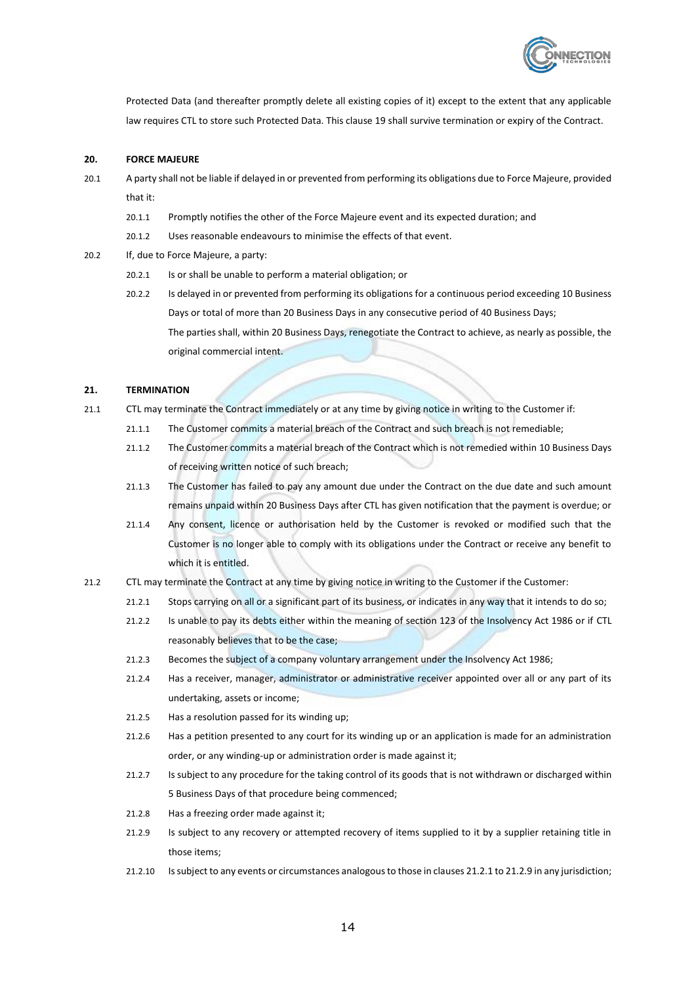<span id="page-14-0"></span>

Protected Data (and thereafter promptly delete all existing copies of it) except to the extent that any applicable law requires CTL to store such Protected Data. This clause [19](#page-12-3) shall survive termination or expiry of the Contract.

#### **20. FORCE MAJEURE**

- 20.1 A party shall not be liable if delayed in or prevented from performing its obligations due to Force Majeure, provided that it:
	- 20.1.1 Promptly notifies the other of the Force Majeure event and its expected duration; and
	- 20.1.2 Uses reasonable endeavours to minimise the effects of that event.
- 20.2 If, due to Force Majeure, a party:
	- 20.2.1 Is or shall be unable to perform a material obligation; or
	- 20.2.2 Is delayed in or prevented from performing its obligations for a continuous period exceeding 10 Business Days or total of more than 20 Business Days in any consecutive period of 40 Business Days; The parties shall, within 20 Business Days, renegotiate the Contract to achieve, as nearly as possible, the original commercial intent.

#### <span id="page-14-6"></span>**21. TERMINATION**

- 21.1 CTL may terminate the Contract immediately or at any time by giving notice in writing to the Customer if:
	- 21.1.1 The Customer commits a material breach of the Contract and such breach is not remediable;
	- 21.1.2 The Customer commits a material breach of the Contract which is not remedied within 10 Business Days of receiving written notice of such breach;
	- 21.1.3 The Customer has failed to pay any amount due under the Contract on the due date and such amount remains unpaid within 20 Business Days after CTL has given notification that the payment is overdue; or
	- 21.1.4 Any consent, licence or authorisation held by the Customer is revoked or modified such that the Customer is no longer able to comply with its obligations under the Contract or receive any benefit to which it is entitled.
- <span id="page-14-5"></span><span id="page-14-4"></span><span id="page-14-3"></span><span id="page-14-2"></span><span id="page-14-1"></span>21.2 CTL may terminate the Contract at any time by giving notice in writing to the Customer if the Customer:
	- 21.2.1 Stops carrying on all or a significant part of its business, or indicates in any way that it intends to do so;
	- 21.2.2 Is unable to pay its debts either within the meaning of section 123 of the Insolvency Act 1986 or if CTL reasonably believes that to be the case;
	- 21.2.3 Becomes the subject of a company voluntary arrangement under the Insolvency Act 1986;
	- 21.2.4 Has a receiver, manager, administrator or administrative receiver appointed over all or any part of its undertaking, assets or income;
	- 21.2.5 Has a resolution passed for its winding up;
	- 21.2.6 Has a petition presented to any court for its winding up or an application is made for an administration order, or any winding-up or administration order is made against it;
	- 21.2.7 Is subject to any procedure for the taking control of its goods that is not withdrawn or discharged within 5 Business Days of that procedure being commenced;
	- 21.2.8 Has a freezing order made against it;
	- 21.2.9 Is subject to any recovery or attempted recovery of items supplied to it by a supplier retaining title in those items;
	- 21.2.10 Is subject to any events or circumstances analogous to those in clause[s 21.2.1](#page-14-2) t[o 21.2.9](#page-14-3) in any jurisdiction;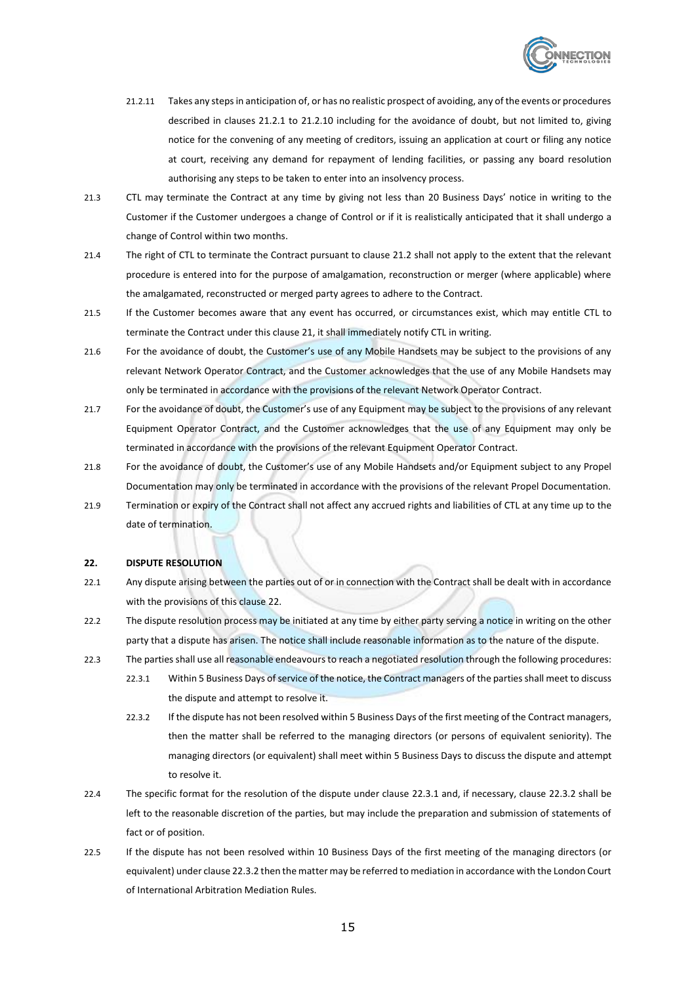<span id="page-15-0"></span>

- 21.2.11 Takes any steps in anticipation of, or has no realistic prospect of avoiding, any of the events or procedures described in clauses [21.2.1](#page-14-2) to [21.2.10](#page-14-4) including for the avoidance of doubt, but not limited to, giving notice for the convening of any meeting of creditors, issuing an application at court or filing any notice at court, receiving any demand for repayment of lending facilities, or passing any board resolution authorising any steps to be taken to enter into an insolvency process.
- 21.3 CTL may terminate the Contract at any time by giving not less than 20 Business Days' notice in writing to the Customer if the Customer undergoes a change of Control or if it is realistically anticipated that it shall undergo a change of Control within two months.
- 21.4 The right of CTL to terminate the Contract pursuant to clause [21.2](#page-14-5) shall not apply to the extent that the relevant procedure is entered into for the purpose of amalgamation, reconstruction or merger (where applicable) where the amalgamated, reconstructed or merged party agrees to adhere to the Contract.
- 21.5 If the Customer becomes aware that any event has occurred, or circumstances exist, which may entitle CTL to terminate the Contract under this claus[e 21,](#page-14-6) it shall immediately notify CTL in writing.
- 21.6 For the avoidance of doubt, the Customer's use of any Mobile Handsets may be subject to the provisions of any relevant Network Operator Contract, and the Customer acknowledges that the use of any Mobile Handsets may only be terminated in accordance with the provisions of the relevant Network Operator Contract.
- 21.7 For the avoidance of doubt, the Customer's use of any Equipment may be subject to the provisions of any relevant Equipment Operator Contract, and the Customer acknowledges that the use of any Equipment may only be terminated in accordance with the provisions of the relevant Equipment Operator Contract.
- 21.8 For the avoidance of doubt, the Customer's use of any Mobile Handsets and/or Equipment subject to any Propel Documentation may only be terminated in accordance with the provisions of the relevant Propel Documentation.
- 21.9 Termination or expiry of the Contract shall not affect any accrued rights and liabilities of CTL at any time up to the date of termination.

#### <span id="page-15-1"></span>**22. DISPUTE RESOLUTION**

- 22.1 Any dispute arising between the parties out of or in connection with the Contract shall be dealt with in accordance with the provisions of this clause [22.](#page-15-1)
- 22.2 The dispute resolution process may be initiated at any time by either party serving a notice in writing on the other party that a dispute has arisen. The notice shall include reasonable information as to the nature of the dispute.
- <span id="page-15-4"></span><span id="page-15-2"></span>22.3 The parties shall use all reasonable endeavours to reach a negotiated resolution through the following procedures:
	- 22.3.1 Within 5 Business Days of service of the notice, the Contract managers of the parties shall meet to discuss the dispute and attempt to resolve it.
	- 22.3.2 If the dispute has not been resolved within 5 Business Days of the first meeting of the Contract managers, then the matter shall be referred to the managing directors (or persons of equivalent seniority). The managing directors (or equivalent) shall meet within 5 Business Days to discuss the dispute and attempt to resolve it.
- <span id="page-15-3"></span>22.4 The specific format for the resolution of the dispute under claus[e 22.3.1](#page-15-2) and, if necessary, clause [22.3.2](#page-15-3) shall be left to the reasonable discretion of the parties, but may include the preparation and submission of statements of fact or of position.
- <span id="page-15-5"></span>22.5 If the dispute has not been resolved within 10 Business Days of the first meeting of the managing directors (or equivalent) under claus[e 22.3.2](#page-15-3) then the matter may be referred to mediation in accordance with the London Court of International Arbitration Mediation Rules.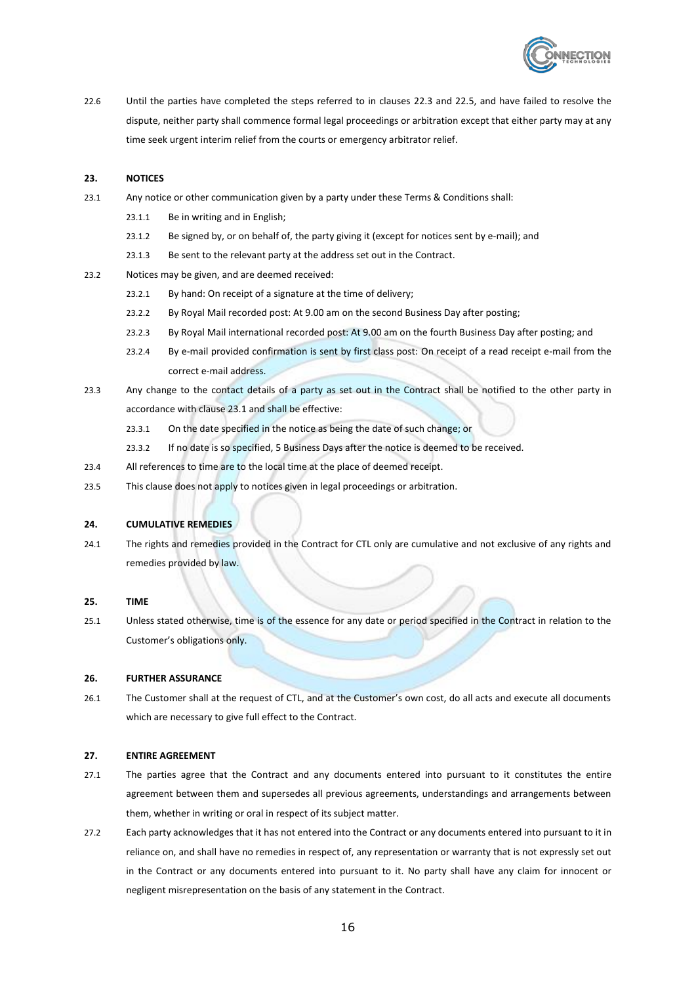<span id="page-16-0"></span>

22.6 Until the parties have completed the steps referred to in clauses [22.3](#page-15-4) and [22.5,](#page-15-5) and have failed to resolve the dispute, neither party shall commence formal legal proceedings or arbitration except that either party may at any time seek urgent interim relief from the courts or emergency arbitrator relief.

## **23. NOTICES**

- 23.1 Any notice or other communication given by a party under these Terms & Conditions shall:
	- 23.1.1 Be in writing and in English;
	- 23.1.2 Be signed by, or on behalf of, the party giving it (except for notices sent by e-mail); and
	- 23.1.3 Be sent to the relevant party at the address set out in the Contract.
- 23.2 Notices may be given, and are deemed received:
	- 23.2.1 By hand: On receipt of a signature at the time of delivery;
	- 23.2.2 By Royal Mail recorded post: At 9.00 am on the second Business Day after posting;
	- 23.2.3 By Royal Mail international recorded post: At 9.00 am on the fourth Business Day after posting; and
	- 23.2.4 By e-mail provided confirmation is sent by first class post: On receipt of a read receipt e-mail from the correct e-mail address.
- 23.3 Any change to the contact details of a party as set out in the Contract shall be notified to the other party in accordance with clause [23.1](#page-16-0) and shall be effective:
	- 23.3.1 On the date specified in the notice as being the date of such change; or
	- 23.3.2 If no date is so specified, 5 Business Days after the notice is deemed to be received.
- 23.4 All references to time are to the local time at the place of deemed receipt.
- 23.5 This clause does not apply to notices given in legal proceedings or arbitration.

#### **24. CUMULATIVE REMEDIES**

24.1 The rights and remedies provided in the Contract for CTL only are cumulative and not exclusive of any rights and remedies provided by law.

#### **25. TIME**

25.1 Unless stated otherwise, time is of the essence for any date or period specified in the Contract in relation to the Customer's obligations only.

#### **26. FURTHER ASSURANCE**

26.1 The Customer shall at the request of CTL, and at the Customer's own cost, do all acts and execute all documents which are necessary to give full effect to the Contract.

## **27. ENTIRE AGREEMENT**

- 27.1 The parties agree that the Contract and any documents entered into pursuant to it constitutes the entire agreement between them and supersedes all previous agreements, understandings and arrangements between them, whether in writing or oral in respect of its subject matter.
- 27.2 Each party acknowledges that it has not entered into the Contract or any documents entered into pursuant to it in reliance on, and shall have no remedies in respect of, any representation or warranty that is not expressly set out in the Contract or any documents entered into pursuant to it. No party shall have any claim for innocent or negligent misrepresentation on the basis of any statement in the Contract.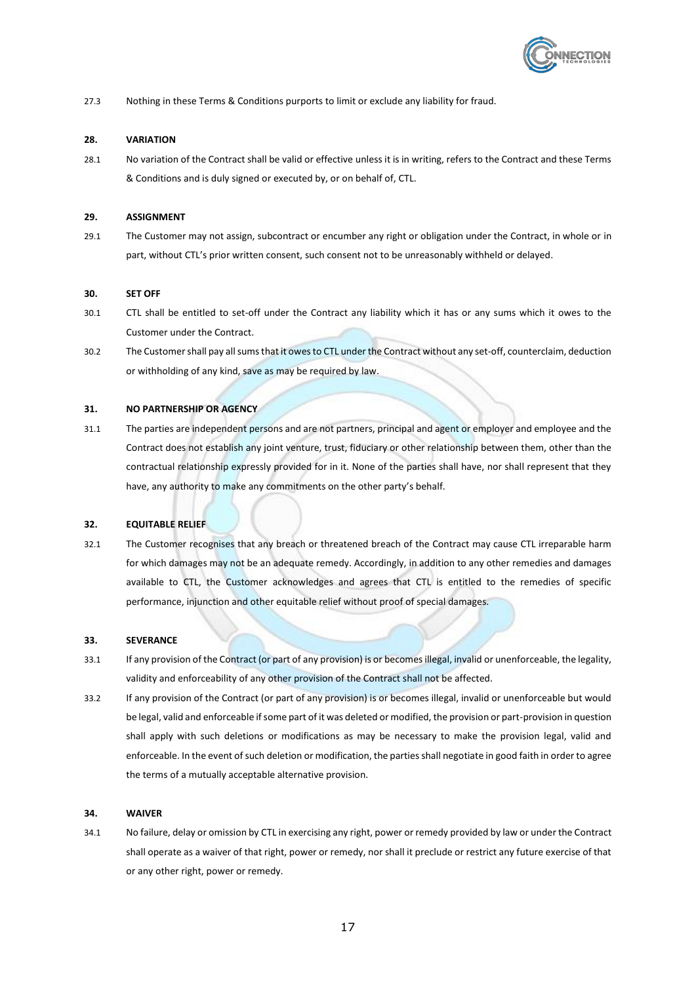

27.3 Nothing in these Terms & Conditions purports to limit or exclude any liability for fraud.

# **28. VARIATION**

28.1 No variation of the Contract shall be valid or effective unless it is in writing, refers to the Contract and these Terms & Conditions and is duly signed or executed by, or on behalf of, CTL.

# **29. ASSIGNMENT**

29.1 The Customer may not assign, subcontract or encumber any right or obligation under the Contract, in whole or in part, without CTL's prior written consent, such consent not to be unreasonably withheld or delayed.

## **30. SET OFF**

- 30.1 CTL shall be entitled to set-off under the Contract any liability which it has or any sums which it owes to the Customer under the Contract.
- 30.2 The Customer shall pay all sums that it owes to CTL under the Contract without any set-off, counterclaim, deduction or withholding of any kind, save as may be required by law.

# **31. NO PARTNERSHIP OR AGENCY**

31.1 The parties are independent persons and are not partners, principal and agent or employer and employee and the Contract does not establish any joint venture, trust, fiduciary or other relationship between them, other than the contractual relationship expressly provided for in it. None of the parties shall have, nor shall represent that they have, any authority to make any commitments on the other party's behalf.

## **32. EQUITABLE RELIEF**

32.1 The Customer recognises that any breach or threatened breach of the Contract may cause CTL irreparable harm for which damages may not be an adequate remedy. Accordingly, in addition to any other remedies and damages available to CTL, the Customer acknowledges and agrees that CTL is entitled to the remedies of specific performance, injunction and other equitable relief without proof of special damages.

# **33. SEVERANCE**

- 33.1 If any provision of the Contract (or part of any provision) is or becomes illegal, invalid or unenforceable, the legality, validity and enforceability of any other provision of the Contract shall not be affected.
- 33.2 If any provision of the Contract (or part of any provision) is or becomes illegal, invalid or unenforceable but would be legal, valid and enforceable if some part of it was deleted or modified, the provision or part-provision in question shall apply with such deletions or modifications as may be necessary to make the provision legal, valid and enforceable. In the event of such deletion or modification, the parties shall negotiate in good faith in order to agree the terms of a mutually acceptable alternative provision.

## **34. WAIVER**

34.1 No failure, delay or omission by CTL in exercising any right, power or remedy provided by law or under the Contract shall operate as a waiver of that right, power or remedy, nor shall it preclude or restrict any future exercise of that or any other right, power or remedy.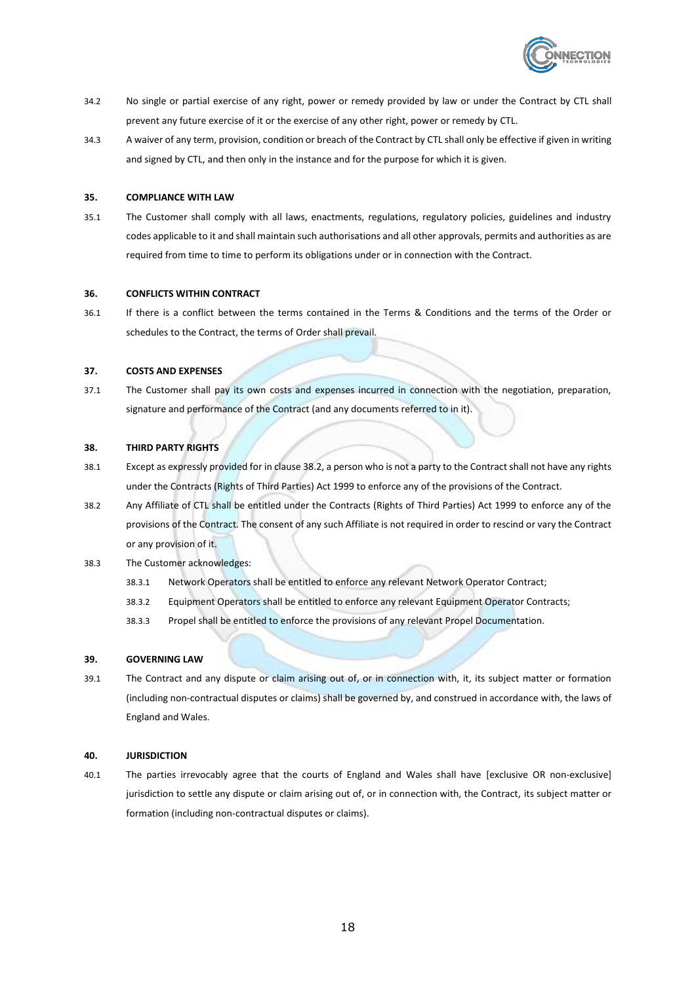

- 34.2 No single or partial exercise of any right, power or remedy provided by law or under the Contract by CTL shall prevent any future exercise of it or the exercise of any other right, power or remedy by CTL.
- 34.3 A waiver of any term, provision, condition or breach of the Contract by CTL shall only be effective if given in writing and signed by CTL, and then only in the instance and for the purpose for which it is given.

# **35. COMPLIANCE WITH LAW**

35.1 The Customer shall comply with all laws, enactments, regulations, regulatory policies, guidelines and industry codes applicable to it and shall maintain such authorisations and all other approvals, permits and authorities as are required from time to time to perform its obligations under or in connection with the Contract.

#### **36. CONFLICTS WITHIN CONTRACT**

36.1 If there is a conflict between the terms contained in the Terms & Conditions and the terms of the Order or schedules to the Contract, the terms of Order shall prevail.

#### **37. COSTS AND EXPENSES**

37.1 The Customer shall pay its own costs and expenses incurred in connection with the negotiation, preparation, signature and performance of the Contract (and any documents referred to in it).

#### **38. THIRD PARTY RIGHTS**

- 38.1 Except as expressly provided for in claus[e 38.2,](#page-18-0) a person who is not a party to the Contract shall not have any rights under the Contracts (Rights of Third Parties) Act 1999 to enforce any of the provisions of the Contract.
- 38.2 Any Affiliate of CTL shall be entitled under the Contracts (Rights of Third Parties) Act 1999 to enforce any of the provisions of the Contract. The consent of any such Affiliate is not required in order to rescind or vary the Contract or any provision of it.
- <span id="page-18-0"></span>38.3 The Customer acknowledges:
	- 38.3.1 Network Operators shall be entitled to enforce any relevant Network Operator Contract;
	- 38.3.2 Equipment Operators shall be entitled to enforce any relevant Equipment Operator Contracts;
	- 38.3.3 Propel shall be entitled to enforce the provisions of any relevant Propel Documentation.

# **39. GOVERNING LAW**

39.1 The Contract and any dispute or claim arising out of, or in connection with, it, its subject matter or formation (including non-contractual disputes or claims) shall be governed by, and construed in accordance with, the laws of England and Wales.

#### **40. JURISDICTION**

40.1 The parties irrevocably agree that the courts of England and Wales shall have [exclusive OR non-exclusive] jurisdiction to settle any dispute or claim arising out of, or in connection with, the Contract, its subject matter or formation (including non-contractual disputes or claims).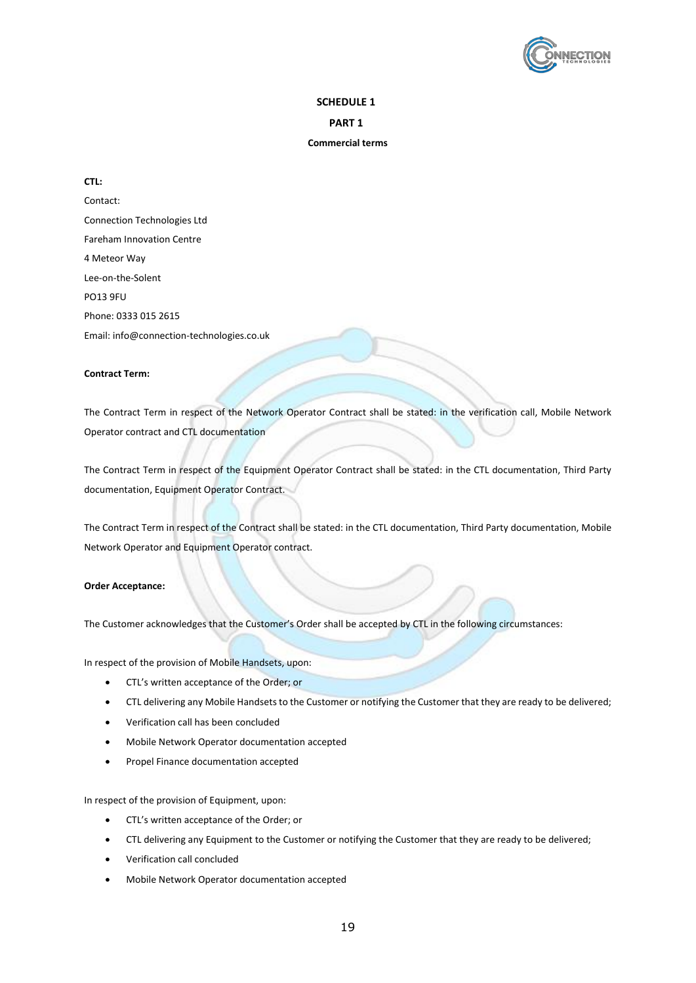

# **SCHEDULE 1**

**PART 1**

#### **Commercial terms**

# <span id="page-19-0"></span>**CTL:**

Contact: Connection Technologies Ltd Fareham Innovation Centre 4 Meteor Way Lee-on-the-Solent PO13 9FU Phone: 0333 015 2615 Email: info@connection-technologies.co.uk

# **Contract Term:**

The Contract Term in respect of the Network Operator Contract shall be stated: in the verification call, Mobile Network Operator contract and CTL documentation

The Contract Term in respect of the Equipment Operator Contract shall be stated: in the CTL documentation, Third Party documentation, Equipment Operator Contract.

The Contract Term in respect of the Contract shall be stated: in the CTL documentation, Third Party documentation, Mobile Network Operator and Equipment Operator contract.

#### **Order Acceptance:**

The Customer acknowledges that the Customer's Order shall be accepted by CTL in the following circumstances:

In respect of the provision of Mobile Handsets, upon:

- CTL's written acceptance of the Order; or
- CTL delivering any Mobile Handsets to the Customer or notifying the Customer that they are ready to be delivered;
- Verification call has been concluded
- Mobile Network Operator documentation accepted
- Propel Finance documentation accepted

In respect of the provision of Equipment, upon:

- CTL's written acceptance of the Order; or
- CTL delivering any Equipment to the Customer or notifying the Customer that they are ready to be delivered;
- Verification call concluded
- Mobile Network Operator documentation accepted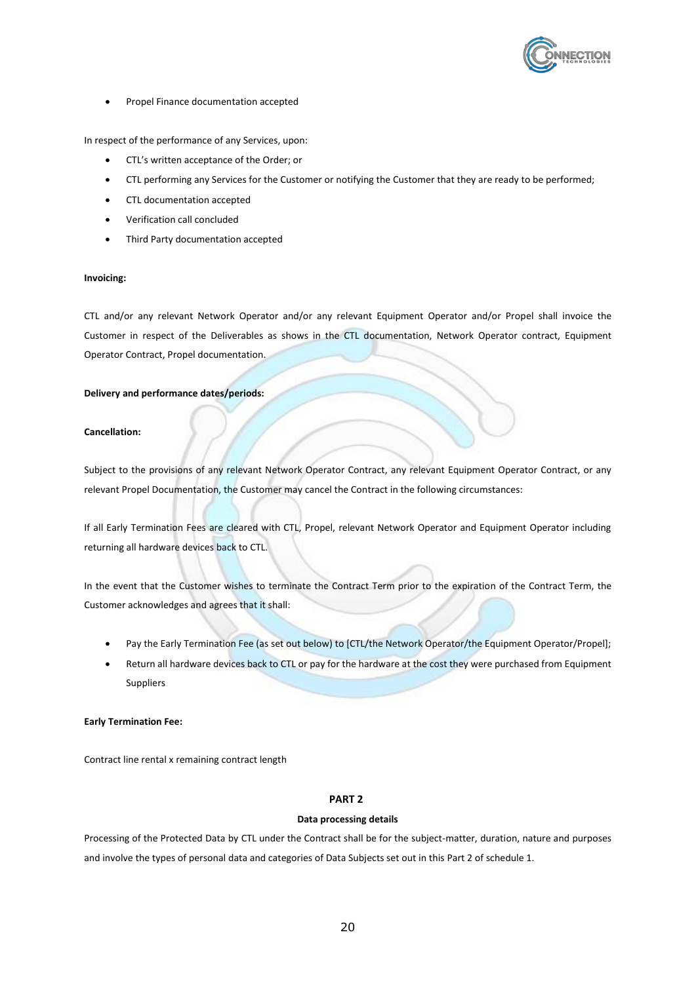

• Propel Finance documentation accepted

In respect of the performance of any Services, upon:

- CTL's written acceptance of the Order; or
- CTL performing any Services for the Customer or notifying the Customer that they are ready to be performed;
- CTL documentation accepted
- Verification call concluded
- Third Party documentation accepted

#### **Invoicing:**

CTL and/or any relevant Network Operator and/or any relevant Equipment Operator and/or Propel shall invoice the Customer in respect of the Deliverables as shows in the CTL documentation, Network Operator contract, Equipment Operator Contract, Propel documentation.

# **Delivery and performance dates/periods:**

## **Cancellation:**

Subject to the provisions of any relevant Network Operator Contract, any relevant Equipment Operator Contract, or any relevant Propel Documentation, the Customer may cancel the Contract in the following circumstances:

If all Early Termination Fees are cleared with CTL, Propel, relevant Network Operator and Equipment Operator including returning all hardware devices back to CTL.

In the event that the Customer wishes to terminate the Contract Term prior to the expiration of the Contract Term, the Customer acknowledges and agrees that it shall:

- Pay the Early Termination Fee (as set out below) to [CTL/the Network Operator/the Equipment Operator/Propel];
- Return all hardware devices back to CTL or pay for the hardware at the cost they were purchased from Equipment Suppliers

## **Early Termination Fee:**

Contract line rental x remaining contract length

# <span id="page-20-0"></span>**PART 2**

# **Data processing details**

Processing of the Protected Data by CTL under the Contract shall be for the subject-matter, duration, nature and purposes and involve the types of personal data and categories of Data Subjects set out in thi[s Part 2](#page-20-0) of [schedule 1.](#page-19-0)